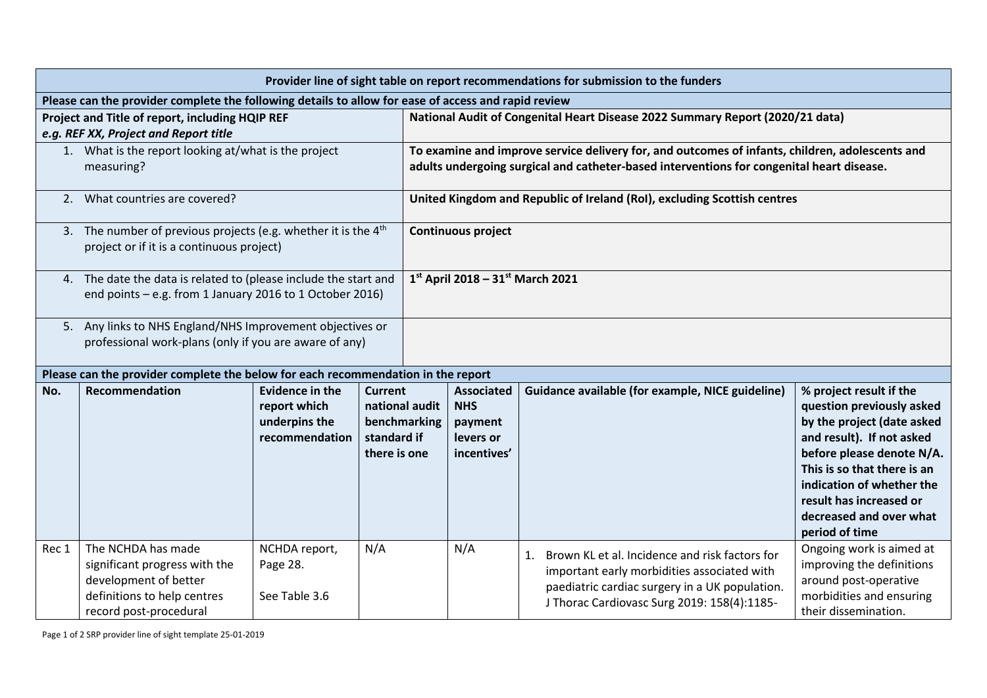| Provider line of sight table on report recommendations for submission to the funders                |                                                                                                                                       |                                                                    |                                                                          |                                                                               |                                                                                                                                                                                              |                                                                                                                                                                                                      |                                                                                                                                                                                                                                                                                  |  |  |  |  |  |
|-----------------------------------------------------------------------------------------------------|---------------------------------------------------------------------------------------------------------------------------------------|--------------------------------------------------------------------|--------------------------------------------------------------------------|-------------------------------------------------------------------------------|----------------------------------------------------------------------------------------------------------------------------------------------------------------------------------------------|------------------------------------------------------------------------------------------------------------------------------------------------------------------------------------------------------|----------------------------------------------------------------------------------------------------------------------------------------------------------------------------------------------------------------------------------------------------------------------------------|--|--|--|--|--|
| Please can the provider complete the following details to allow for ease of access and rapid review |                                                                                                                                       |                                                                    |                                                                          |                                                                               |                                                                                                                                                                                              |                                                                                                                                                                                                      |                                                                                                                                                                                                                                                                                  |  |  |  |  |  |
| Project and Title of report, including HQIP REF                                                     |                                                                                                                                       |                                                                    |                                                                          | National Audit of Congenital Heart Disease 2022 Summary Report (2020/21 data) |                                                                                                                                                                                              |                                                                                                                                                                                                      |                                                                                                                                                                                                                                                                                  |  |  |  |  |  |
| e.g. REF XX, Project and Report title                                                               |                                                                                                                                       |                                                                    |                                                                          |                                                                               |                                                                                                                                                                                              |                                                                                                                                                                                                      |                                                                                                                                                                                                                                                                                  |  |  |  |  |  |
|                                                                                                     | 1. What is the report looking at/what is the project<br>measuring?                                                                    |                                                                    |                                                                          |                                                                               | To examine and improve service delivery for, and outcomes of infants, children, adolescents and<br>adults undergoing surgical and catheter-based interventions for congenital heart disease. |                                                                                                                                                                                                      |                                                                                                                                                                                                                                                                                  |  |  |  |  |  |
| 2.                                                                                                  | What countries are covered?                                                                                                           |                                                                    |                                                                          |                                                                               | United Kingdom and Republic of Ireland (RoI), excluding Scottish centres                                                                                                                     |                                                                                                                                                                                                      |                                                                                                                                                                                                                                                                                  |  |  |  |  |  |
|                                                                                                     | 3. The number of previous projects (e.g. whether it is the $4th$<br>project or if it is a continuous project)                         |                                                                    |                                                                          |                                                                               | Continuous project                                                                                                                                                                           |                                                                                                                                                                                                      |                                                                                                                                                                                                                                                                                  |  |  |  |  |  |
|                                                                                                     | 4. The date the data is related to (please include the start and<br>end points - e.g. from 1 January 2016 to 1 October 2016)          |                                                                    |                                                                          |                                                                               | $1^{st}$ April 2018 - 31st March 2021                                                                                                                                                        |                                                                                                                                                                                                      |                                                                                                                                                                                                                                                                                  |  |  |  |  |  |
|                                                                                                     | 5. Any links to NHS England/NHS Improvement objectives or<br>professional work-plans (only if you are aware of any)                   |                                                                    |                                                                          |                                                                               |                                                                                                                                                                                              |                                                                                                                                                                                                      |                                                                                                                                                                                                                                                                                  |  |  |  |  |  |
| Please can the provider complete the below for each recommendation in the report                    |                                                                                                                                       |                                                                    |                                                                          |                                                                               |                                                                                                                                                                                              |                                                                                                                                                                                                      |                                                                                                                                                                                                                                                                                  |  |  |  |  |  |
| No.                                                                                                 | Recommendation                                                                                                                        | Evidence in the<br>report which<br>underpins the<br>recommendation | Current<br>national audit<br>benchmarking<br>standard if<br>there is one |                                                                               | <b>Associated</b><br><b>NHS</b><br>payment<br>levers or<br>incentives'                                                                                                                       | Guidance available (for example, NICE guideline)                                                                                                                                                     | % project result if the<br>question previously asked<br>by the project (date asked<br>and result). If not asked<br>before please denote N/A.<br>This is so that there is an<br>indication of whether the<br>result has increased or<br>decreased and over what<br>period of time |  |  |  |  |  |
| Rec 1                                                                                               | The NCHDA has made<br>significant progress with the<br>development of better<br>definitions to help centres<br>record post-procedural | NCHDA report,<br>Page 28.<br>See Table 3.6                         | N/A                                                                      |                                                                               | N/A                                                                                                                                                                                          | Brown KL et al. Incidence and risk factors for<br>1.<br>important early morbidities associated with<br>paediatric cardiac surgery in a UK population.<br>J Thorac Cardiovasc Surg 2019: 158(4):1185- | Ongoing work is aimed at<br>improving the definitions<br>around post-operative<br>morbidities and ensuring<br>their dissemination.                                                                                                                                               |  |  |  |  |  |

Page 1 of 2 SRP provider line of sight template 25-01-2019